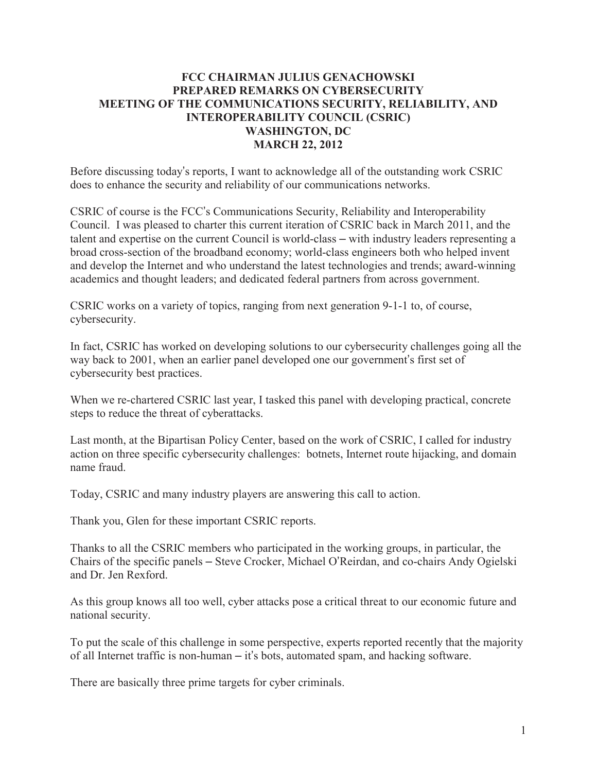## **FCC CHAIRMAN JULIUS GENACHOWSKI PREPARED REMARKS ON CYBERSECURITY MEETING OF THE COMMUNICATIONS SECURITY, RELIABILITY, AND INTEROPERABILITY COUNCIL (CSRIC) WASHINGTON, DC MARCH 22, 2012**

Before discussing today's reports, I want to acknowledge all of the outstanding work CSRIC does to enhance the security and reliability of our communications networks.

CSRIC of course is the FCC's Communications Security, Reliability and Interoperability Council. I was pleased to charter this current iteration of CSRIC back in March 2011, and the talent and expertise on the current Council is world-class – with industry leaders representing a broad cross-section of the broadband economy; world-class engineers both who helped invent and develop the Internet and who understand the latest technologies and trends; award-winning academics and thought leaders; and dedicated federal partners from across government.

CSRIC works on a variety of topics, ranging from next generation 9-1-1 to, of course, cybersecurity.

In fact, CSRIC has worked on developing solutions to our cybersecurity challenges going all the way back to 2001, when an earlier panel developed one our government's first set of cybersecurity best practices.

When we re-chartered CSRIC last year, I tasked this panel with developing practical, concrete steps to reduce the threat of cyberattacks.

Last month, at the Bipartisan Policy Center, based on the work of CSRIC, I called for industry action on three specific cybersecurity challenges: botnets, Internet route hijacking, and domain name fraud.

Today, CSRIC and many industry players are answering this call to action.

Thank you, Glen for these important CSRIC reports.

Thanks to all the CSRIC members who participated in the working groups, in particular, the Chairs of the specific panels – Steve Crocker, Michael O'Reirdan, and co-chairs Andy Ogielski and Dr. Jen Rexford.

As this group knows all too well, cyber attacks pose a critical threat to our economic future and national security.

To put the scale of this challenge in some perspective, experts reported recently that the majority of all Internet traffic is non-human – it's bots, automated spam, and hacking software.

There are basically three prime targets for cyber criminals.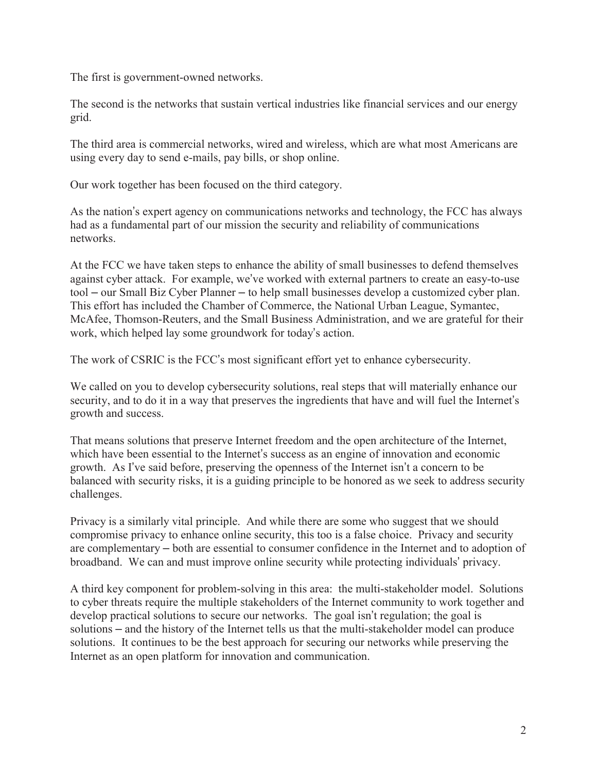The first is government-owned networks.

The second is the networks that sustain vertical industries like financial services and our energy grid.

The third area is commercial networks, wired and wireless, which are what most Americans are using every day to send e-mails, pay bills, or shop online.

Our work together has been focused on the third category.

As the nation's expert agency on communications networks and technology, the FCC has always had as a fundamental part of our mission the security and reliability of communications networks.

At the FCC we have taken steps to enhance the ability of small businesses to defend themselves against cyber attack. For example, we've worked with external partners to create an easy-to-use tool – our Small Biz Cyber Planner – to help small businesses develop a customized cyber plan. This effort has included the Chamber of Commerce, the National Urban League, Symantec, McAfee, Thomson-Reuters, and the Small Business Administration, and we are grateful for their work, which helped lay some groundwork for today's action.

The work of CSRIC is the FCC's most significant effort yet to enhance cybersecurity.

We called on you to develop cybersecurity solutions, real steps that will materially enhance our security, and to do it in a way that preserves the ingredients that have and will fuel the Internet's growth and success.

That means solutions that preserve Internet freedom and the open architecture of the Internet, which have been essential to the Internet's success as an engine of innovation and economic growth. As I've said before, preserving the openness of the Internet isn't a concern to be balanced with security risks, it is a guiding principle to be honored as we seek to address security challenges.

Privacy is a similarly vital principle. And while there are some who suggest that we should compromise privacy to enhance online security, this too is a false choice. Privacy and security are complementary – both are essential to consumer confidence in the Internet and to adoption of broadband. We can and must improve online security while protecting individuals' privacy.

A third key component for problem-solving in this area: the multi-stakeholder model. Solutions to cyber threats require the multiple stakeholders of the Internet community to work together and develop practical solutions to secure our networks. The goal isn't regulation; the goal is solutions – and the history of the Internet tells us that the multi-stakeholder model can produce solutions. It continues to be the best approach for securing our networks while preserving the Internet as an open platform for innovation and communication.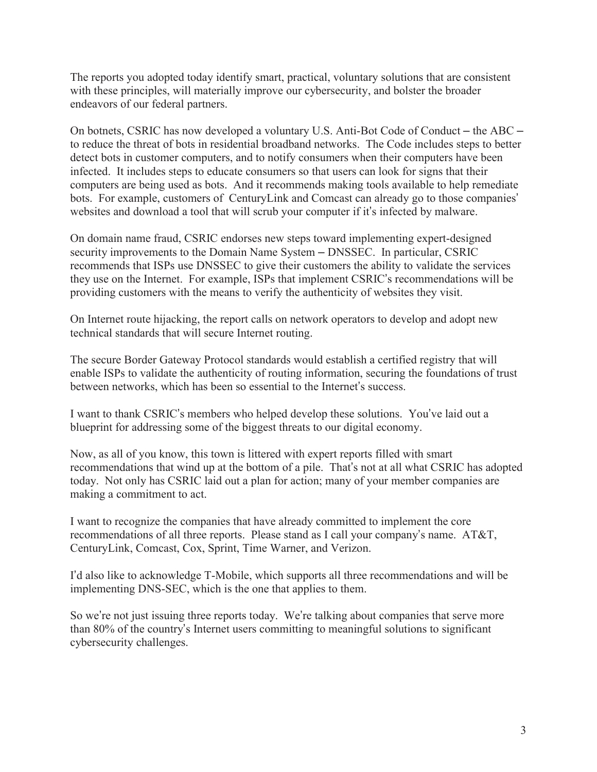The reports you adopted today identify smart, practical, voluntary solutions that are consistent with these principles, will materially improve our cybersecurity, and bolster the broader endeavors of our federal partners.

On botnets, CSRIC has now developed a voluntary U.S. Anti-Bot Code of Conduct – the ABC – to reduce the threat of bots in residential broadband networks. The Code includes steps to better detect bots in customer computers, and to notify consumers when their computers have been infected. It includes steps to educate consumers so that users can look for signs that their computers are being used as bots. And it recommends making tools available to help remediate bots. For example, customers of CenturyLink and Comcast can already go to those companies' websites and download a tool that will scrub your computer if it's infected by malware.

On domain name fraud, CSRIC endorses new steps toward implementing expert-designed security improvements to the Domain Name System – DNSSEC. In particular, CSRIC recommends that ISPs use DNSSEC to give their customers the ability to validate the services they use on the Internet. For example, ISPs that implement CSRIC's recommendations will be providing customers with the means to verify the authenticity of websites they visit.

On Internet route hijacking, the report calls on network operators to develop and adopt new technical standards that will secure Internet routing.

The secure Border Gateway Protocol standards would establish a certified registry that will enable ISPs to validate the authenticity of routing information, securing the foundations of trust between networks, which has been so essential to the Internet's success.

I want to thank CSRIC's members who helped develop these solutions. You've laid out a blueprint for addressing some of the biggest threats to our digital economy.

Now, as all of you know, this town is littered with expert reports filled with smart recommendations that wind up at the bottom of a pile. That's not at all what CSRIC has adopted today. Not only has CSRIC laid out a plan for action; many of your member companies are making a commitment to act.

I want to recognize the companies that have already committed to implement the core recommendations of all three reports. Please stand as I call your company's name. AT&T, CenturyLink, Comcast, Cox, Sprint, Time Warner, and Verizon.

I'd also like to acknowledge T-Mobile, which supports all three recommendations and will be implementing DNS-SEC, which is the one that applies to them.

So we're not just issuing three reports today. We're talking about companies that serve more than 80% of the country's Internet users committing to meaningful solutions to significant cybersecurity challenges.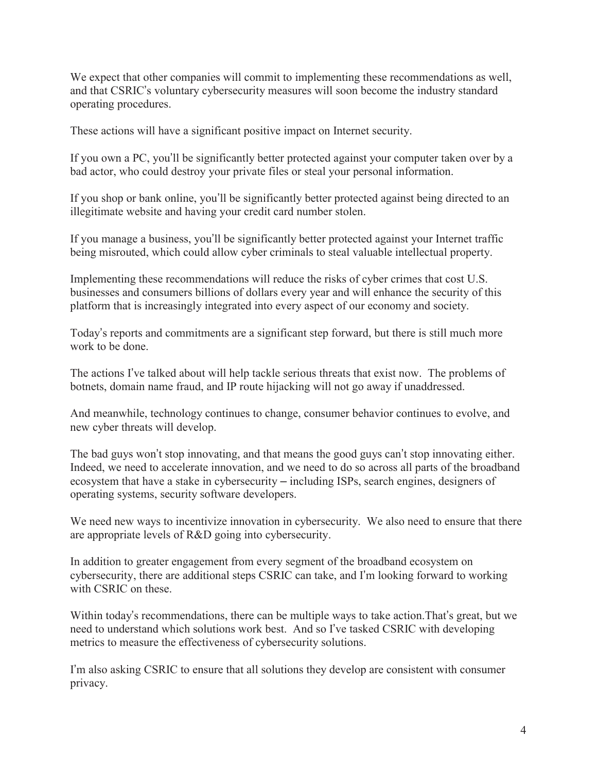We expect that other companies will commit to implementing these recommendations as well, and that CSRIC's voluntary cybersecurity measures will soon become the industry standard operating procedures.

These actions will have a significant positive impact on Internet security.

If you own a PC, you'll be significantly better protected against your computer taken over by a bad actor, who could destroy your private files or steal your personal information.

If you shop or bank online, you'll be significantly better protected against being directed to an illegitimate website and having your credit card number stolen.

If you manage a business, you'll be significantly better protected against your Internet traffic being misrouted, which could allow cyber criminals to steal valuable intellectual property.

Implementing these recommendations will reduce the risks of cyber crimes that cost U.S. businesses and consumers billions of dollars every year and will enhance the security of this platform that is increasingly integrated into every aspect of our economy and society.

Today's reports and commitments are a significant step forward, but there is still much more work to be done

The actions I've talked about will help tackle serious threats that exist now. The problems of botnets, domain name fraud, and IP route hijacking will not go away if unaddressed.

And meanwhile, technology continues to change, consumer behavior continues to evolve, and new cyber threats will develop.

The bad guys won't stop innovating, and that means the good guys can't stop innovating either. Indeed, we need to accelerate innovation, and we need to do so across all parts of the broadband ecosystem that have a stake in cybersecurity – including ISPs, search engines, designers of operating systems, security software developers.

We need new ways to incentivize innovation in cybersecurity. We also need to ensure that there are appropriate levels of R&D going into cybersecurity.

In addition to greater engagement from every segment of the broadband ecosystem on cybersecurity, there are additional steps CSRIC can take, and I'm looking forward to working with CSRIC on these.

Within today's recommendations, there can be multiple ways to take action.That's great, but we need to understand which solutions work best. And so I've tasked CSRIC with developing metrics to measure the effectiveness of cybersecurity solutions.

I'm also asking CSRIC to ensure that all solutions they develop are consistent with consumer privacy.